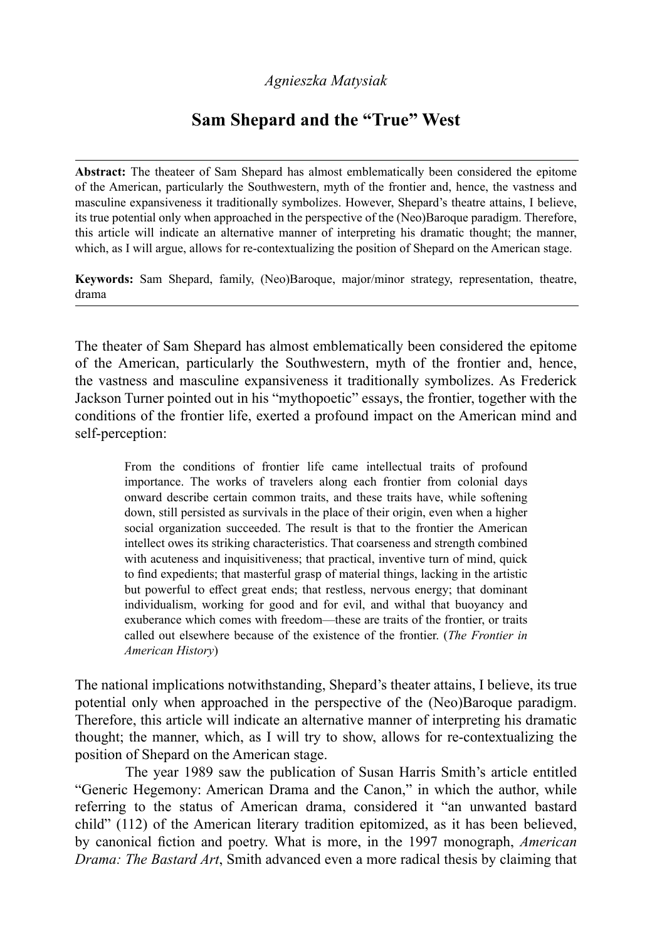# *Agnieszka Matysiak*

# **Sam Shepard and the "True" West**

**Abstract:** The theateer of Sam Shepard has almost emblematically been considered the epitome of the American, particularly the Southwestern, myth of the frontier and, hence, the vastness and masculine expansiveness it traditionally symbolizes. However, Shepard's theatre attains, I believe, its true potential only when approached in the perspective of the (Neo)Baroque paradigm. Therefore, this article will indicate an alternative manner of interpreting his dramatic thought; the manner, which, as I will argue, allows for re-contextualizing the position of Shepard on the American stage.

**Keywords:** Sam Shepard, family, (Neo)Baroque, major/minor strategy, representation, theatre, drama

The theater of Sam Shepard has almost emblematically been considered the epitome of the American, particularly the Southwestern, myth of the frontier and, hence, the vastness and masculine expansiveness it traditionally symbolizes. As Frederick Jackson Turner pointed out in his "mythopoetic" essays, the frontier, together with the conditions of the frontier life, exerted a profound impact on the American mind and self-perception:

From the conditions of frontier life came intellectual traits of profound importance. The works of travelers along each frontier from colonial days onward describe certain common traits, and these traits have, while softening down, still persisted as survivals in the place of their origin, even when a higher social organization succeeded. The result is that to the frontier the American intellect owes its striking characteristics. That coarseness and strength combined with acuteness and inquisitiveness; that practical, inventive turn of mind, quick to find expedients; that masterful grasp of material things, lacking in the artistic but powerful to effect great ends; that restless, nervous energy; that dominant individualism, working for good and for evil, and withal that buoyancy and exuberance which comes with freedom—these are traits of the frontier, or traits called out elsewhere because of the existence of the frontier. (*The Frontier in American History*)

The national implications notwithstanding, Shepard's theater attains, I believe, its true potential only when approached in the perspective of the (Neo)Baroque paradigm. Therefore, this article will indicate an alternative manner of interpreting his dramatic thought; the manner, which, as I will try to show, allows for re-contextualizing the position of Shepard on the American stage.

The year 1989 saw the publication of Susan Harris Smith's article entitled "Generic Hegemony: American Drama and the Canon," in which the author, while referring to the status of American drama, considered it "an unwanted bastard child" (112) of the American literary tradition epitomized, as it has been believed, by canonical fiction and poetry. What is more, in the 1997 monograph, *American Drama: The Bastard Art*, Smith advanced even a more radical thesis by claiming that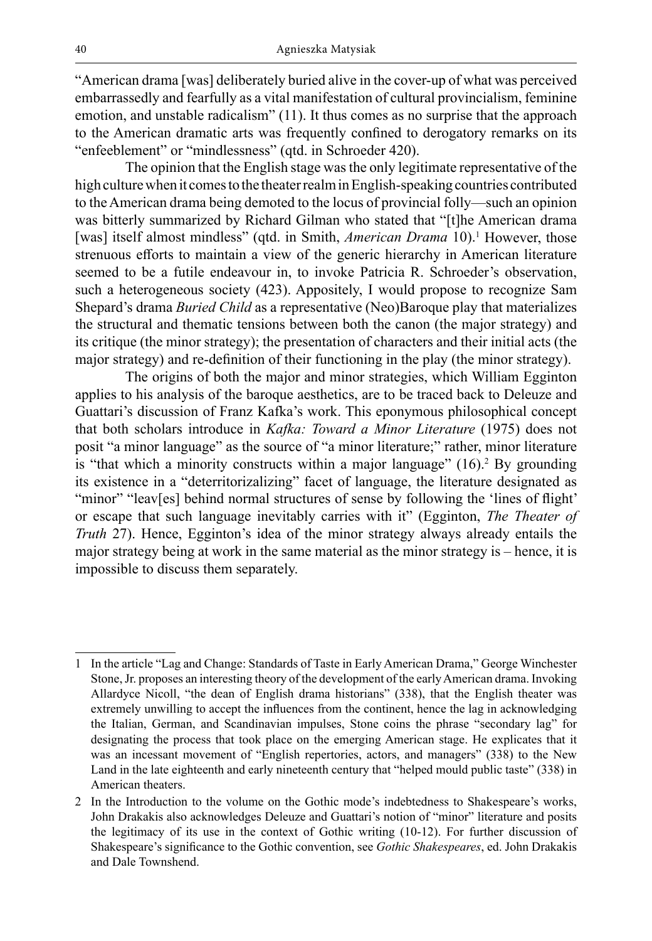"American drama [was] deliberately buried alive in the cover-up of what was perceived embarrassedly and fearfully as a vital manifestation of cultural provincialism, feminine emotion, and unstable radicalism" (11). It thus comes as no surprise that the approach to the American dramatic arts was frequently confined to derogatory remarks on its "enfeeblement" or "mindlessness" (qtd. in Schroeder 420).

The opinion that the English stage was the only legitimate representative of the high culture when it comes to the theater realm in English-speaking countries contributed to the American drama being demoted to the locus of provincial folly—such an opinion was bitterly summarized by Richard Gilman who stated that "[t]he American drama [was] itself almost mindless" (qtd. in Smith, *American Drama* 10).<sup>1</sup> However, those strenuous efforts to maintain a view of the generic hierarchy in American literature seemed to be a futile endeavour in, to invoke Patricia R. Schroeder's observation, such a heterogeneous society (423). Appositely, I would propose to recognize Sam Shepard's drama *Buried Child* as a representative (Neo)Baroque play that materializes the structural and thematic tensions between both the canon (the major strategy) and its critique (the minor strategy); the presentation of characters and their initial acts (the major strategy) and re-definition of their functioning in the play (the minor strategy).

The origins of both the major and minor strategies, which William Egginton applies to his analysis of the baroque aesthetics, are to be traced back to Deleuze and Guattari's discussion of Franz Kafka's work. This eponymous philosophical concept that both scholars introduce in *Kafka: Toward a Minor Literature* (1975) does not posit "a minor language" as the source of "a minor literature;" rather, minor literature is "that which a minority constructs within a major language" (16).<sup>2</sup> By grounding its existence in a "deterritorizalizing" facet of language, the literature designated as "minor" "leav[es] behind normal structures of sense by following the 'lines of flight' or escape that such language inevitably carries with it" (Egginton, *The Theater of Truth* 27). Hence, Egginton's idea of the minor strategy always already entails the major strategy being at work in the same material as the minor strategy is – hence, it is impossible to discuss them separately.

<sup>1</sup> In the article "Lag and Change: Standards of Taste in Early American Drama," George Winchester Stone, Jr. proposes an interesting theory of the development of the early American drama. Invoking Allardyce Nicoll, "the dean of English drama historians" (338), that the English theater was extremely unwilling to accept the influences from the continent, hence the lag in acknowledging the Italian, German, and Scandinavian impulses, Stone coins the phrase "secondary lag" for designating the process that took place on the emerging American stage. He explicates that it was an incessant movement of "English repertories, actors, and managers" (338) to the New Land in the late eighteenth and early nineteenth century that "helped mould public taste" (338) in American theaters.

<sup>2</sup> In the Introduction to the volume on the Gothic mode's indebtedness to Shakespeare's works, John Drakakis also acknowledges Deleuze and Guattari's notion of "minor" literature and posits the legitimacy of its use in the context of Gothic writing (10-12). For further discussion of Shakespeare's significance to the Gothic convention, see *Gothic Shakespeares*, ed. John Drakakis and Dale Townshend.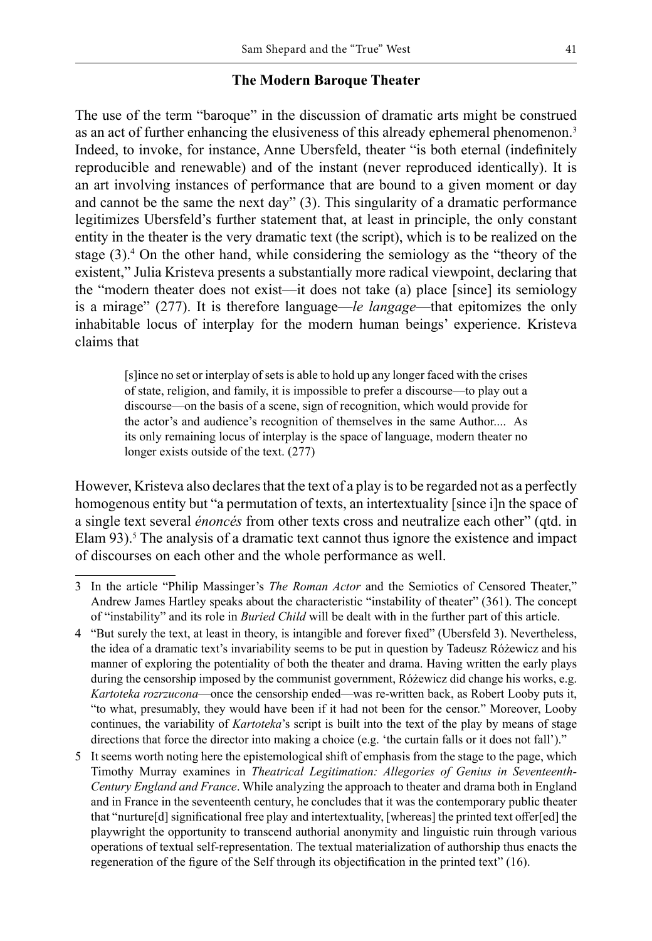### **The Modern Baroque Theater**

The use of the term "baroque" in the discussion of dramatic arts might be construed as an act of further enhancing the elusiveness of this already ephemeral phenomenon.<sup>3</sup> Indeed, to invoke, for instance, Anne Ubersfeld, theater "is both eternal (indefinitely reproducible and renewable) and of the instant (never reproduced identically). It is an art involving instances of performance that are bound to a given moment or day and cannot be the same the next day" (3). This singularity of a dramatic performance legitimizes Ubersfeld's further statement that, at least in principle, the only constant entity in the theater is the very dramatic text (the script), which is to be realized on the stage (3).<sup>4</sup> On the other hand, while considering the semiology as the "theory of the existent," Julia Kristeva presents a substantially more radical viewpoint, declaring that the "modern theater does not exist—it does not take (a) place [since] its semiology is a mirage" (277). It is therefore language—*le langage*—that epitomizes the only inhabitable locus of interplay for the modern human beings' experience. Kristeva claims that

[s]ince no set or interplay of sets is able to hold up any longer faced with the crises of state, religion, and family, it is impossible to prefer a discourse—to play out a discourse—on the basis of a scene, sign of recognition, which would provide for the actor's and audience's recognition of themselves in the same Author.... As its only remaining locus of interplay is the space of language, modern theater no longer exists outside of the text. (277)

However, Kristeva also declares that the text of a play is to be regarded not as a perfectly homogenous entity but "a permutation of texts, an intertextuality [since i]n the space of a single text several *énoncés* from other texts cross and neutralize each other" (qtd. in Elam 93).<sup>5</sup> The analysis of a dramatic text cannot thus ignore the existence and impact of discourses on each other and the whole performance as well.

<sup>3</sup> In the article "Philip Massinger's *The Roman Actor* and the Semiotics of Censored Theater," Andrew James Hartley speaks about the characteristic "instability of theater" (361). The concept of "instability" and its role in *Buried Child* will be dealt with in the further part of this article.

<sup>4</sup> "But surely the text, at least in theory, is intangible and forever fixed" (Ubersfeld 3). Nevertheless, the idea of a dramatic text's invariability seems to be put in question by Tadeusz Różewicz and his manner of exploring the potentiality of both the theater and drama. Having written the early plays during the censorship imposed by the communist government, Różewicz did change his works, e.g. *Kartoteka rozrzucona*—once the censorship ended—was re-written back, as Robert Looby puts it, "to what, presumably, they would have been if it had not been for the censor." Moreover, Looby continues, the variability of *Kartoteka*'s script is built into the text of the play by means of stage directions that force the director into making a choice (e.g. 'the curtain falls or it does not fall')."

<sup>5</sup> It seems worth noting here the epistemological shift of emphasis from the stage to the page, which Timothy Murray examines in *Theatrical Legitimation: Allegories of Genius in Seventeenth-Century England and France*. While analyzing the approach to theater and drama both in England and in France in the seventeenth century, he concludes that it was the contemporary public theater that "nurture[d] significational free play and intertextuality, [whereas] the printed text offer[ed] the playwright the opportunity to transcend authorial anonymity and linguistic ruin through various operations of textual self-representation. The textual materialization of authorship thus enacts the regeneration of the figure of the Self through its objectification in the printed text" (16).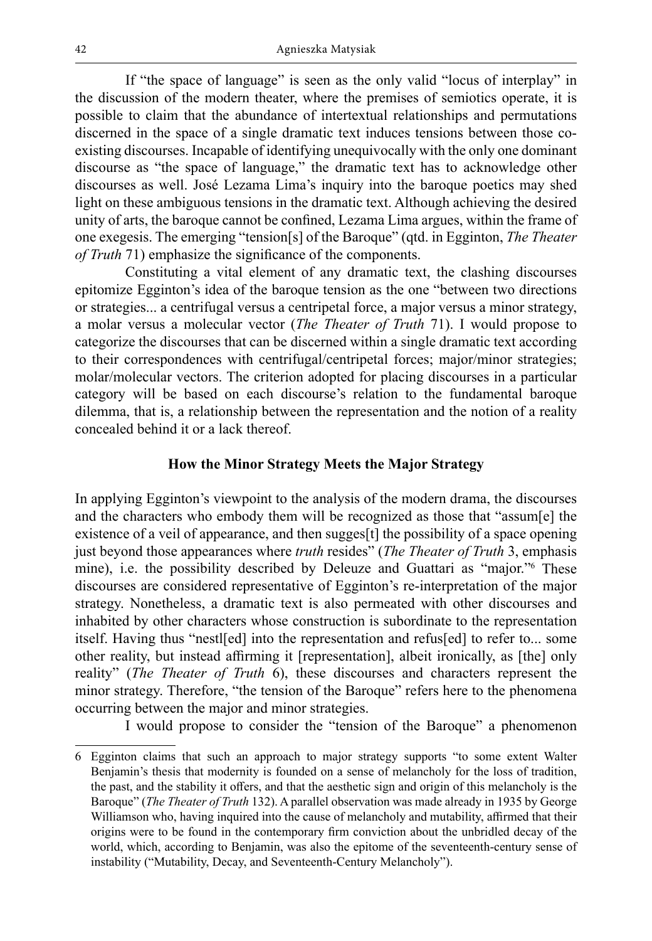If "the space of language" is seen as the only valid "locus of interplay" in the discussion of the modern theater, where the premises of semiotics operate, it is possible to claim that the abundance of intertextual relationships and permutations discerned in the space of a single dramatic text induces tensions between those coexisting discourses. Incapable of identifying unequivocally with the only one dominant discourse as "the space of language," the dramatic text has to acknowledge other discourses as well. José Lezama Lima's inquiry into the baroque poetics may shed light on these ambiguous tensions in the dramatic text. Although achieving the desired unity of arts, the baroque cannot be confined, Lezama Lima argues, within the frame of one exegesis. The emerging "tension[s] of the Baroque" (qtd. in Egginton, *The Theater of Truth* 71) emphasize the significance of the components.

Constituting a vital element of any dramatic text, the clashing discourses epitomize Egginton's idea of the baroque tension as the one "between two directions or strategies... a centrifugal versus a centripetal force, a major versus a minor strategy, a molar versus a molecular vector (*The Theater of Truth* 71). I would propose to categorize the discourses that can be discerned within a single dramatic text according to their correspondences with centrifugal/centripetal forces; major/minor strategies; molar/molecular vectors. The criterion adopted for placing discourses in a particular category will be based on each discourse's relation to the fundamental baroque dilemma, that is, a relationship between the representation and the notion of a reality concealed behind it or a lack thereof.

## **How the Minor Strategy Meets the Major Strategy**

In applying Egginton's viewpoint to the analysis of the modern drama, the discourses and the characters who embody them will be recognized as those that "assum[e] the existence of a veil of appearance, and then sugges[t] the possibility of a space opening just beyond those appearances where *truth* resides" (*The Theater of Truth* 3, emphasis mine), i.e. the possibility described by Deleuze and Guattari as "major."6 These discourses are considered representative of Egginton's re-interpretation of the major strategy. Nonetheless, a dramatic text is also permeated with other discourses and inhabited by other characters whose construction is subordinate to the representation itself. Having thus "nestl[ed] into the representation and refus[ed] to refer to... some other reality, but instead affirming it [representation], albeit ironically, as [the] only reality" (*The Theater of Truth* 6), these discourses and characters represent the minor strategy. Therefore, "the tension of the Baroque" refers here to the phenomena occurring between the major and minor strategies.

I would propose to consider the "tension of the Baroque" a phenomenon

<sup>6</sup> Egginton claims that such an approach to major strategy supports "to some extent Walter Benjamin's thesis that modernity is founded on a sense of melancholy for the loss of tradition, the past, and the stability it offers, and that the aesthetic sign and origin of this melancholy is the Baroque" (*The Theater of Truth* 132). A parallel observation was made already in 1935 by George Williamson who, having inquired into the cause of melancholy and mutability, affirmed that their origins were to be found in the contemporary firm conviction about the unbridled decay of the world, which, according to Benjamin, was also the epitome of the seventeenth-century sense of instability ("Mutability, Decay, and Seventeenth-Century Melancholy").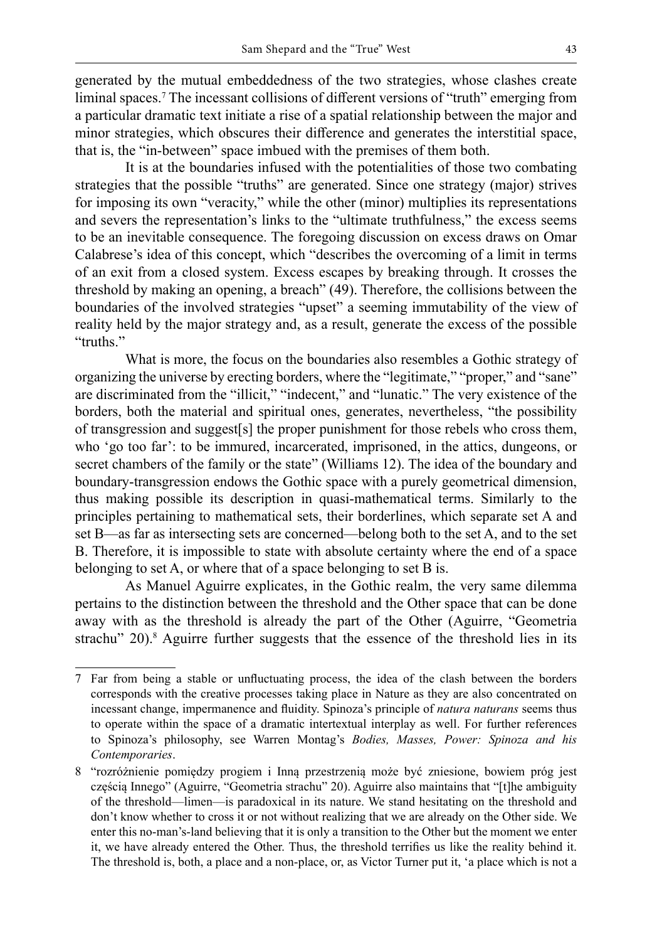generated by the mutual embeddedness of the two strategies, whose clashes create liminal spaces.<sup>7</sup> The incessant collisions of different versions of "truth" emerging from a particular dramatic text initiate a rise of a spatial relationship between the major and minor strategies, which obscures their difference and generates the interstitial space, that is, the "in-between" space imbued with the premises of them both.

It is at the boundaries infused with the potentialities of those two combating strategies that the possible "truths" are generated. Since one strategy (major) strives for imposing its own "veracity," while the other (minor) multiplies its representations and severs the representation's links to the "ultimate truthfulness," the excess seems to be an inevitable consequence. The foregoing discussion on excess draws on Omar Calabrese's idea of this concept, which "describes the overcoming of a limit in terms of an exit from a closed system. Excess escapes by breaking through. It crosses the threshold by making an opening, a breach" (49). Therefore, the collisions between the boundaries of the involved strategies "upset" a seeming immutability of the view of reality held by the major strategy and, as a result, generate the excess of the possible "truths."

What is more, the focus on the boundaries also resembles a Gothic strategy of organizing the universe by erecting borders, where the "legitimate," "proper," and "sane" are discriminated from the "illicit," "indecent," and "lunatic." The very existence of the borders, both the material and spiritual ones, generates, nevertheless, "the possibility of transgression and suggest[s] the proper punishment for those rebels who cross them, who 'go too far': to be immured, incarcerated, imprisoned, in the attics, dungeons, or secret chambers of the family or the state" (Williams 12). The idea of the boundary and boundary-transgression endows the Gothic space with a purely geometrical dimension, thus making possible its description in quasi-mathematical terms. Similarly to the principles pertaining to mathematical sets, their borderlines, which separate set A and set B—as far as intersecting sets are concerned—belong both to the set A, and to the set B. Therefore, it is impossible to state with absolute certainty where the end of a space belonging to set A, or where that of a space belonging to set B is.

As Manuel Aguirre explicates, in the Gothic realm, the very same dilemma pertains to the distinction between the threshold and the Other space that can be done away with as the threshold is already the part of the Other (Aguirre, "Geometria strachu" 20).<sup>8</sup> Aguirre further suggests that the essence of the threshold lies in its

<sup>7</sup> Far from being a stable or unfluctuating process, the idea of the clash between the borders corresponds with the creative processes taking place in Nature as they are also concentrated on incessant change, impermanence and fluidity. Spinoza's principle of *natura naturans* seems thus to operate within the space of a dramatic intertextual interplay as well. For further references to Spinoza's philosophy, see Warren Montag's *Bodies, Masses, Power: Spinoza and his Contemporaries*.

<sup>8</sup> "rozróżnienie pomiędzy progiem i Inną przestrzenią może być zniesione, bowiem próg jest częścią Innego" (Aguirre, "Geometria strachu" 20). Aguirre also maintains that "[t]he ambiguity of the threshold—limen—is paradoxical in its nature. We stand hesitating on the threshold and don't know whether to cross it or not without realizing that we are already on the Other side. We enter this no-man's-land believing that it is only a transition to the Other but the moment we enter it, we have already entered the Other. Thus, the threshold terrifies us like the reality behind it. The threshold is, both, a place and a non-place, or, as Victor Turner put it, 'a place which is not a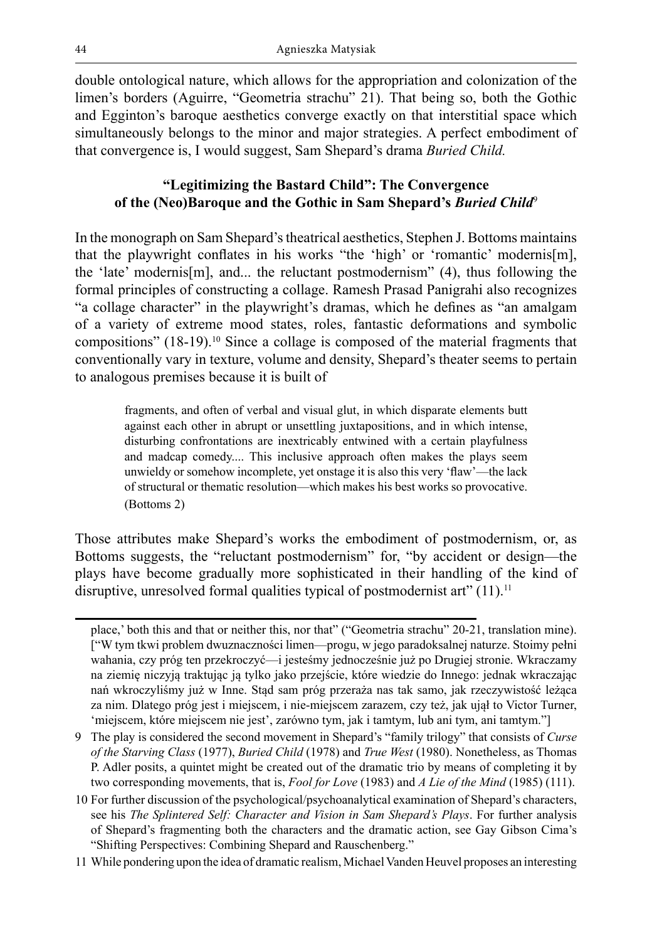double ontological nature, which allows for the appropriation and colonization of the limen's borders (Aguirre, "Geometria strachu" 21). That being so, both the Gothic and Egginton's baroque aesthetics converge exactly on that interstitial space which simultaneously belongs to the minor and major strategies. A perfect embodiment of that convergence is, I would suggest, Sam Shepard's drama *Buried Child.*

# **"Legitimizing the Bastard Child": The Convergence of the (Neo)Baroque and the Gothic in Sam Shepard's** *Buried Child*<sup>9</sup>

In the monograph on Sam Shepard's theatrical aesthetics, Stephen J. Bottoms maintains that the playwright conflates in his works "the 'high' or 'romantic' modernis[m], the 'late' modernis[m], and... the reluctant postmodernism" (4), thus following the formal principles of constructing a collage. Ramesh Prasad Panigrahi also recognizes "a collage character" in the playwright's dramas, which he defines as "an amalgam of a variety of extreme mood states, roles, fantastic deformations and symbolic compositions" (18-19).<sup>10</sup> Since a collage is composed of the material fragments that conventionally vary in texture, volume and density, Shepard's theater seems to pertain to analogous premises because it is built of

fragments, and often of verbal and visual glut, in which disparate elements butt against each other in abrupt or unsettling juxtapositions, and in which intense, disturbing confrontations are inextricably entwined with a certain playfulness and madcap comedy.... This inclusive approach often makes the plays seem unwieldy or somehow incomplete, yet onstage it is also this very 'flaw'—the lack of structural or thematic resolution—which makes his best works so provocative. (Bottoms 2)

Those attributes make Shepard's works the embodiment of postmodernism, or, as Bottoms suggests, the "reluctant postmodernism" for, "by accident or design—the plays have become gradually more sophisticated in their handling of the kind of disruptive, unresolved formal qualities typical of postmodernist art" (11).<sup>11</sup>

place,' both this and that or neither this, nor that" ("Geometria strachu" 20-21, translation mine). ["W tym tkwi problem dwuznaczności limen—progu, w jego paradoksalnej naturze. Stoimy pełni wahania, czy próg ten przekroczyć—i jesteśmy jednocześnie już po Drugiej stronie. Wkraczamy na ziemię niczyją traktując ją tylko jako przejście, które wiedzie do Innego: jednak wkraczając nań wkroczyliśmy już w Inne. Stąd sam próg przeraża nas tak samo, jak rzeczywistość leżąca za nim. Dlatego próg jest i miejscem, i nie-miejscem zarazem, czy też, jak ujął to Victor Turner, 'miejscem, które miejscem nie jest', zarówno tym, jak i tamtym, lub ani tym, ani tamtym."]

<sup>9</sup> The play is considered the second movement in Shepard's "family trilogy" that consists of *Curse of the Starving Class* (1977), *Buried Child* (1978) and *True West* (1980). Nonetheless, as Thomas P. Adler posits, a quintet might be created out of the dramatic trio by means of completing it by two corresponding movements, that is, *Fool for Love* (1983) and *A Lie of the Mind* (1985) (111).

<sup>10</sup> For further discussion of the psychological/psychoanalytical examination of Shepard's characters, see his *The Splintered Self: Character and Vision in Sam Shepard's Plays*. For further analysis of Shepard's fragmenting both the characters and the dramatic action, see Gay Gibson Cima's "Shifting Perspectives: Combining Shepard and Rauschenberg."

<sup>11</sup> While pondering upon the idea of dramatic realism, Michael Vanden Heuvel proposes an interesting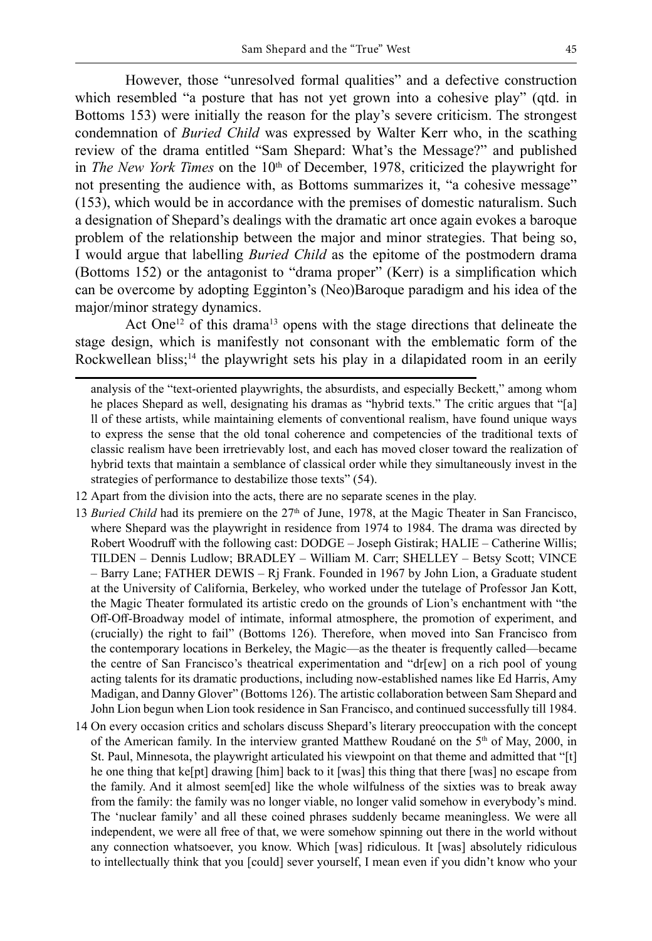However, those "unresolved formal qualities" and a defective construction which resembled "a posture that has not yet grown into a cohesive play" (qtd. in Bottoms 153) were initially the reason for the play's severe criticism. The strongest condemnation of *Buried Child* was expressed by Walter Kerr who, in the scathing review of the drama entitled "Sam Shepard: What's the Message?" and published in *The New York Times* on the 10<sup>th</sup> of December, 1978, criticized the playwright for not presenting the audience with, as Bottoms summarizes it, "a cohesive message" (153), which would be in accordance with the premises of domestic naturalism. Such a designation of Shepard's dealings with the dramatic art once again evokes a baroque problem of the relationship between the major and minor strategies. That being so, I would argue that labelling *Buried Child* as the epitome of the postmodern drama (Bottoms 152) or the antagonist to "drama proper" (Kerr) is a simplification which can be overcome by adopting Egginton's (Neo)Baroque paradigm and his idea of the major/minor strategy dynamics.

Act One<sup>12</sup> of this drama<sup>13</sup> opens with the stage directions that delineate the stage design, which is manifestly not consonant with the emblematic form of the Rockwellean bliss;<sup>14</sup> the playwright sets his play in a dilapidated room in an eerily

- 12 Apart from the division into the acts, there are no separate scenes in the play.
- 13 *Buried Child* had its premiere on the 27<sup>th</sup> of June, 1978, at the Magic Theater in San Francisco, where Shepard was the playwright in residence from 1974 to 1984. The drama was directed by Robert Woodruff with the following cast: DODGE – Joseph Gistirak; HALIE – Catherine Willis; TILDEN – Dennis Ludlow; BRADLEY – William M. Carr; SHELLEY – Betsy Scott; VINCE – Barry Lane; FATHER DEWIS – Rj Frank. Founded in 1967 by John Lion, a Graduate student at the University of California, Berkeley, who worked under the tutelage of Professor Jan Kott, the Magic Theater formulated its artistic credo on the grounds of Lion's enchantment with "the Off-Off-Broadway model of intimate, informal atmosphere, the promotion of experiment, and (crucially) the right to fail" (Bottoms 126). Therefore, when moved into San Francisco from the contemporary locations in Berkeley, the Magic—as the theater is frequently called—became the centre of San Francisco's theatrical experimentation and "dr[ew] on a rich pool of young acting talents for its dramatic productions, including now-established names like Ed Harris, Amy Madigan, and Danny Glover" (Bottoms 126). The artistic collaboration between Sam Shepard and John Lion begun when Lion took residence in San Francisco, and continued successfully till 1984.
- 14 On every occasion critics and scholars discuss Shepard's literary preoccupation with the concept of the American family. In the interview granted Matthew Roudané on the  $5<sup>th</sup>$  of May, 2000, in St. Paul, Minnesota, the playwright articulated his viewpoint on that theme and admitted that "[t] he one thing that ke[pt] drawing [him] back to it [was] this thing that there [was] no escape from the family. And it almost seem[ed] like the whole wilfulness of the sixties was to break away from the family: the family was no longer viable, no longer valid somehow in everybody's mind. The 'nuclear family' and all these coined phrases suddenly became meaningless. We were all independent, we were all free of that, we were somehow spinning out there in the world without any connection whatsoever, you know. Which [was] ridiculous. It [was] absolutely ridiculous to intellectually think that you [could] sever yourself, I mean even if you didn't know who your

analysis of the "text-oriented playwrights, the absurdists, and especially Beckett," among whom he places Shepard as well, designating his dramas as "hybrid texts." The critic argues that "[a] ll of these artists, while maintaining elements of conventional realism, have found unique ways to express the sense that the old tonal coherence and competencies of the traditional texts of classic realism have been irretrievably lost, and each has moved closer toward the realization of hybrid texts that maintain a semblance of classical order while they simultaneously invest in the strategies of performance to destabilize those texts" (54).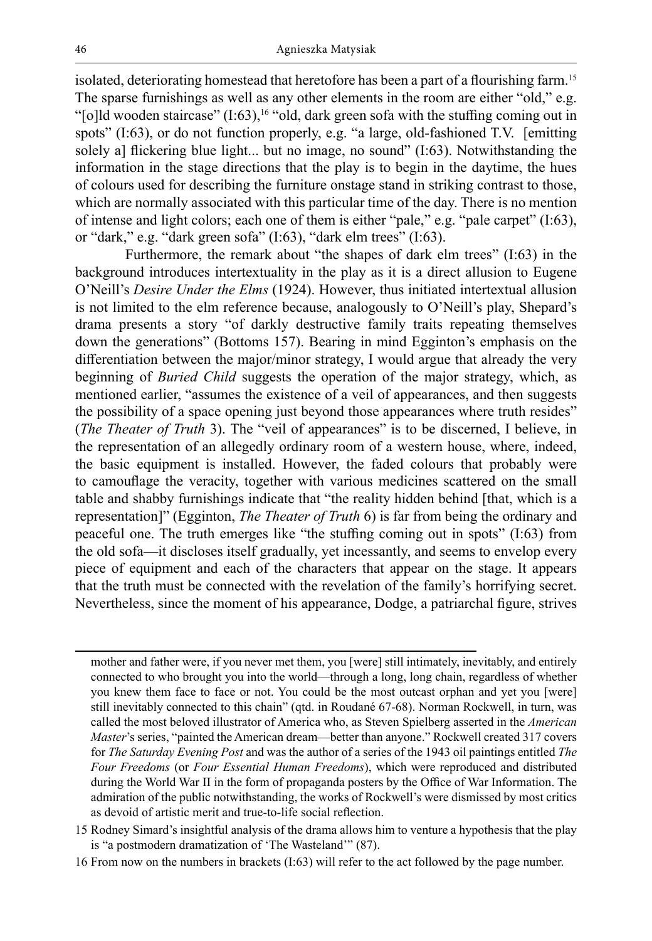isolated, deteriorating homestead that heretofore has been a part of a flourishing farm.15 The sparse furnishings as well as any other elements in the room are either "old," e.g. "[o]ld wooden staircase"  $(1:63)$ ,<sup>16</sup> "old, dark green sofa with the stuffing coming out in spots" (I:63), or do not function properly, e.g. "a large, old-fashioned T.V. [emitting solely a] flickering blue light... but no image, no sound" (I:63). Notwithstanding the information in the stage directions that the play is to begin in the daytime, the hues of colours used for describing the furniture onstage stand in striking contrast to those, which are normally associated with this particular time of the day. There is no mention of intense and light colors; each one of them is either "pale," e.g. "pale carpet" (I:63), or "dark," e.g. "dark green sofa" (I:63), "dark elm trees" (I:63).

Furthermore, the remark about "the shapes of dark elm trees" (I:63) in the background introduces intertextuality in the play as it is a direct allusion to Eugene O'Neill's *Desire Under the Elms* (1924). However, thus initiated intertextual allusion is not limited to the elm reference because, analogously to O'Neill's play, Shepard's drama presents a story "of darkly destructive family traits repeating themselves down the generations" (Bottoms 157). Bearing in mind Egginton's emphasis on the differentiation between the major/minor strategy, I would argue that already the very beginning of *Buried Child* suggests the operation of the major strategy, which, as mentioned earlier, "assumes the existence of a veil of appearances, and then suggests the possibility of a space opening just beyond those appearances where truth resides" (*The Theater of Truth* 3). The "veil of appearances" is to be discerned, I believe, in the representation of an allegedly ordinary room of a western house, where, indeed, the basic equipment is installed. However, the faded colours that probably were to camouflage the veracity, together with various medicines scattered on the small table and shabby furnishings indicate that "the reality hidden behind [that, which is a representation]" (Egginton, *The Theater of Truth* 6) is far from being the ordinary and peaceful one. The truth emerges like "the stuffing coming out in spots" (I:63) from the old sofa—it discloses itself gradually, yet incessantly, and seems to envelop every piece of equipment and each of the characters that appear on the stage. It appears that the truth must be connected with the revelation of the family's horrifying secret. Nevertheless, since the moment of his appearance, Dodge, a patriarchal figure, strives

mother and father were, if you never met them, you [were] still intimately, inevitably, and entirely connected to who brought you into the world—through a long, long chain, regardless of whether you knew them face to face or not. You could be the most outcast orphan and yet you [were] still inevitably connected to this chain" (qtd. in Roudané 67-68). Norman Rockwell, in turn, was called the most beloved illustrator of America who, as Steven Spielberg asserted in the *American Master*'s series, "painted the American dream—better than anyone." Rockwell created 317 covers for *The Saturday Evening Post* and was the author of a series of the 1943 oil paintings entitled *The Four Freedoms* (or *Four Essential Human Freedoms*), which were reproduced and distributed during the World War II in the form of propaganda posters by the Office of War Information. The admiration of the public notwithstanding, the works of Rockwell's were dismissed by most critics as devoid of artistic merit and true-to-life social reflection.

<sup>15</sup> Rodney Simard's insightful analysis of the drama allows him to venture a hypothesis that the play is "a postmodern dramatization of 'The Wasteland'" (87).

<sup>16</sup> From now on the numbers in brackets (I:63) will refer to the act followed by the page number.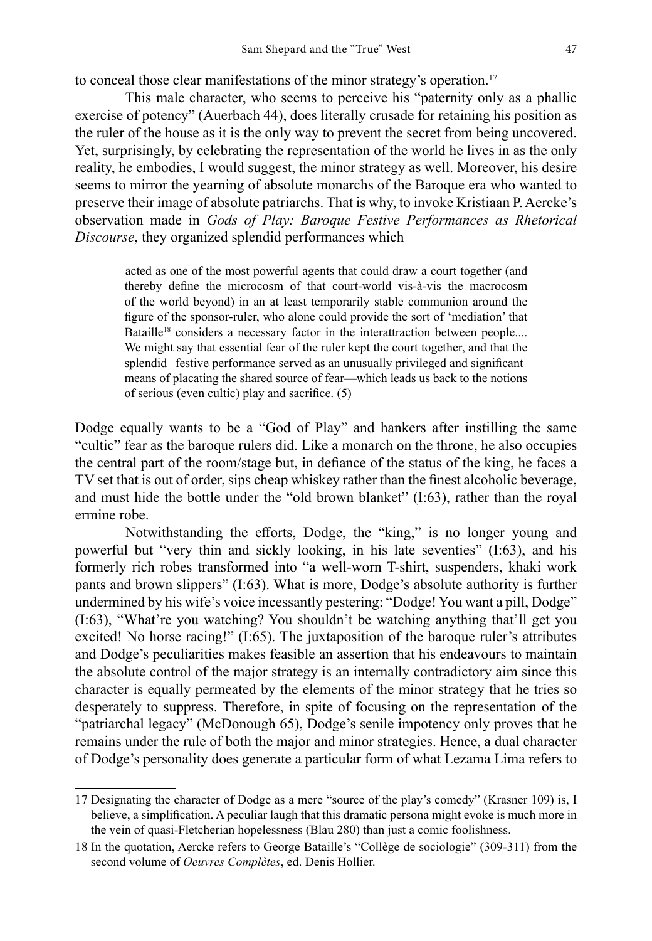to conceal those clear manifestations of the minor strategy's operation.<sup>17</sup>

This male character, who seems to perceive his "paternity only as a phallic exercise of potency" (Auerbach 44), does literally crusade for retaining his position as the ruler of the house as it is the only way to prevent the secret from being uncovered. Yet, surprisingly, by celebrating the representation of the world he lives in as the only reality, he embodies, I would suggest, the minor strategy as well. Moreover, his desire seems to mirror the yearning of absolute monarchs of the Baroque era who wanted to preserve their image of absolute patriarchs. That is why, to invoke Kristiaan P. Aercke's observation made in *Gods of Play: Baroque Festive Performances as Rhetorical Discourse*, they organized splendid performances which

acted as one of the most powerful agents that could draw a court together (and thereby define the microcosm of that court-world vis-à-vis the macrocosm of the world beyond) in an at least temporarily stable communion around the figure of the sponsor-ruler, who alone could provide the sort of 'mediation' that Bataille<sup>18</sup> considers a necessary factor in the interattraction between people.... We might say that essential fear of the ruler kept the court together, and that the splendid festive performance served as an unusually privileged and significant means of placating the shared source of fear—which leads us back to the notions of serious (even cultic) play and sacrifice. (5)

Dodge equally wants to be a "God of Play" and hankers after instilling the same "cultic" fear as the baroque rulers did. Like a monarch on the throne, he also occupies the central part of the room/stage but, in defiance of the status of the king, he faces a TV set that is out of order, sips cheap whiskey rather than the finest alcoholic beverage, and must hide the bottle under the "old brown blanket" (I:63), rather than the royal ermine robe.

Notwithstanding the efforts, Dodge, the "king," is no longer young and powerful but "very thin and sickly looking, in his late seventies" (I:63), and his formerly rich robes transformed into "a well-worn T-shirt, suspenders, khaki work pants and brown slippers" (I:63). What is more, Dodge's absolute authority is further undermined by his wife's voice incessantly pestering: "Dodge! You want a pill, Dodge" (I:63), "What're you watching? You shouldn't be watching anything that'll get you excited! No horse racing!" (I:65). The juxtaposition of the baroque ruler's attributes and Dodge's peculiarities makes feasible an assertion that his endeavours to maintain the absolute control of the major strategy is an internally contradictory aim since this character is equally permeated by the elements of the minor strategy that he tries so desperately to suppress. Therefore, in spite of focusing on the representation of the "patriarchal legacy" (McDonough 65), Dodge's senile impotency only proves that he remains under the rule of both the major and minor strategies. Hence, a dual character of Dodge's personality does generate a particular form of what Lezama Lima refers to

<sup>17</sup> Designating the character of Dodge as a mere "source of the play's comedy" (Krasner 109) is, I believe, a simplification. A peculiar laugh that this dramatic persona might evoke is much more in the vein of quasi-Fletcherian hopelessness (Blau 280) than just a comic foolishness.

<sup>18</sup> In the quotation, Aercke refers to George Bataille's "Collège de sociologie" (309-311) from the second volume of *Oeuvres Complètes*, ed. Denis Hollier.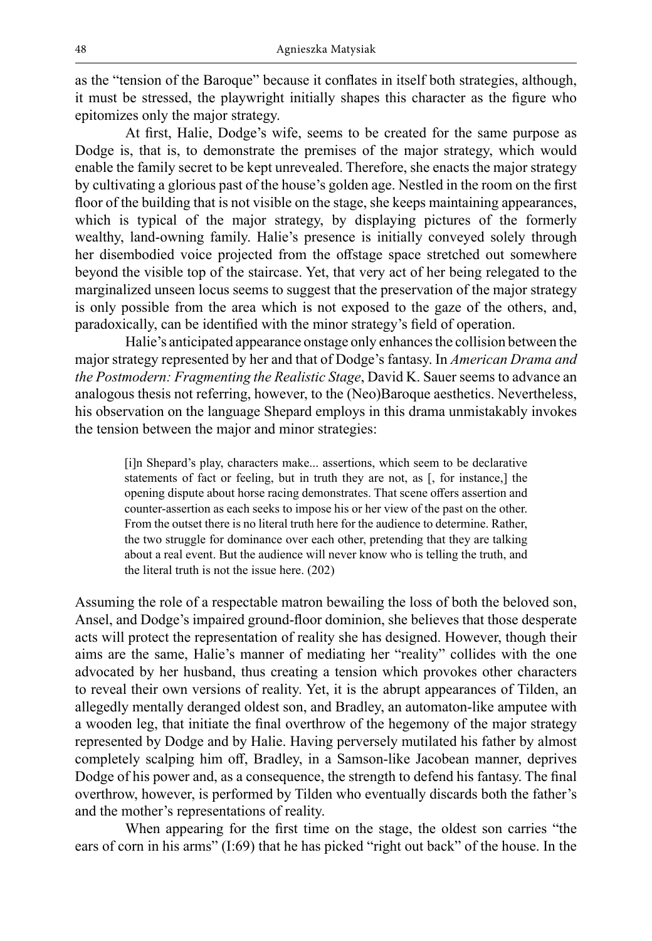as the "tension of the Baroque" because it conflates in itself both strategies, although, it must be stressed, the playwright initially shapes this character as the figure who epitomizes only the major strategy.

At first, Halie, Dodge's wife, seems to be created for the same purpose as Dodge is, that is, to demonstrate the premises of the major strategy, which would enable the family secret to be kept unrevealed. Therefore, she enacts the major strategy by cultivating a glorious past of the house's golden age. Nestled in the room on the first floor of the building that is not visible on the stage, she keeps maintaining appearances, which is typical of the major strategy, by displaying pictures of the formerly wealthy, land-owning family. Halie's presence is initially conveyed solely through her disembodied voice projected from the offstage space stretched out somewhere beyond the visible top of the staircase. Yet, that very act of her being relegated to the marginalized unseen locus seems to suggest that the preservation of the major strategy is only possible from the area which is not exposed to the gaze of the others, and, paradoxically, can be identified with the minor strategy's field of operation.

Halie's anticipated appearance onstage only enhances the collision between the major strategy represented by her and that of Dodge's fantasy. In *American Drama and the Postmodern: Fragmenting the Realistic Stage*, David K. Sauer seems to advance an analogous thesis not referring, however, to the (Neo)Baroque aesthetics. Nevertheless, his observation on the language Shepard employs in this drama unmistakably invokes the tension between the major and minor strategies:

[i]n Shepard's play, characters make... assertions, which seem to be declarative statements of fact or feeling, but in truth they are not, as [, for instance,] the opening dispute about horse racing demonstrates. That scene offers assertion and counter-assertion as each seeks to impose his or her view of the past on the other. From the outset there is no literal truth here for the audience to determine. Rather, the two struggle for dominance over each other, pretending that they are talking about a real event. But the audience will never know who is telling the truth, and the literal truth is not the issue here. (202)

Assuming the role of a respectable matron bewailing the loss of both the beloved son, Ansel, and Dodge's impaired ground-floor dominion, she believes that those desperate acts will protect the representation of reality she has designed. However, though their aims are the same, Halie's manner of mediating her "reality" collides with the one advocated by her husband, thus creating a tension which provokes other characters to reveal their own versions of reality. Yet, it is the abrupt appearances of Tilden, an allegedly mentally deranged oldest son, and Bradley, an automaton-like amputee with a wooden leg, that initiate the final overthrow of the hegemony of the major strategy represented by Dodge and by Halie. Having perversely mutilated his father by almost completely scalping him off, Bradley, in a Samson-like Jacobean manner, deprives Dodge of his power and, as a consequence, the strength to defend his fantasy. The final overthrow, however, is performed by Tilden who eventually discards both the father's and the mother's representations of reality.

When appearing for the first time on the stage, the oldest son carries "the ears of corn in his arms" (I:69) that he has picked "right out back" of the house. In the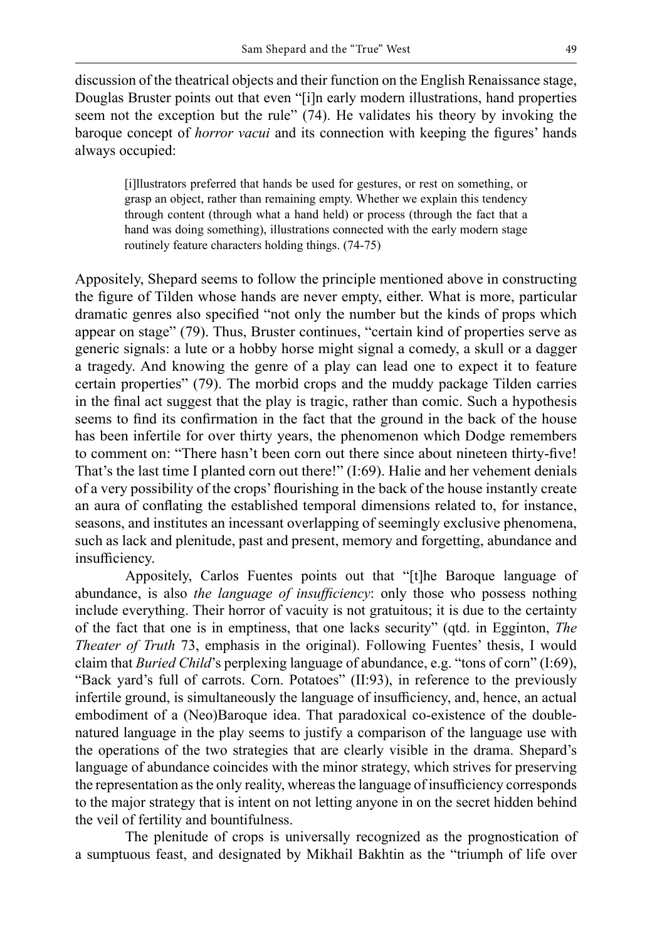discussion of the theatrical objects and their function on the English Renaissance stage, Douglas Bruster points out that even "[i]n early modern illustrations, hand properties seem not the exception but the rule" (74). He validates his theory by invoking the baroque concept of *horror vacui* and its connection with keeping the figures' hands always occupied:

[i]llustrators preferred that hands be used for gestures, or rest on something, or grasp an object, rather than remaining empty. Whether we explain this tendency through content (through what a hand held) or process (through the fact that a hand was doing something), illustrations connected with the early modern stage routinely feature characters holding things. (74-75)

Appositely, Shepard seems to follow the principle mentioned above in constructing the figure of Tilden whose hands are never empty, either. What is more, particular dramatic genres also specified "not only the number but the kinds of props which appear on stage" (79). Thus, Bruster continues, "certain kind of properties serve as generic signals: a lute or a hobby horse might signal a comedy, a skull or a dagger a tragedy. And knowing the genre of a play can lead one to expect it to feature certain properties" (79). The morbid crops and the muddy package Tilden carries in the final act suggest that the play is tragic, rather than comic. Such a hypothesis seems to find its confirmation in the fact that the ground in the back of the house has been infertile for over thirty years, the phenomenon which Dodge remembers to comment on: "There hasn't been corn out there since about nineteen thirty-five! That's the last time I planted corn out there!" (I:69). Halie and her vehement denials of a very possibility of the crops' flourishing in the back of the house instantly create an aura of conflating the established temporal dimensions related to, for instance, seasons, and institutes an incessant overlapping of seemingly exclusive phenomena, such as lack and plenitude, past and present, memory and forgetting, abundance and insufficiency.

Appositely, Carlos Fuentes points out that "[t]he Baroque language of abundance, is also *the language of insufficiency*: only those who possess nothing include everything. Their horror of vacuity is not gratuitous; it is due to the certainty of the fact that one is in emptiness, that one lacks security" (qtd. in Egginton, *The Theater of Truth* 73, emphasis in the original). Following Fuentes' thesis, I would claim that *Buried Child*'s perplexing language of abundance, e.g. "tons of corn" (I:69), "Back yard's full of carrots. Corn. Potatoes" (II:93), in reference to the previously infertile ground, is simultaneously the language of insufficiency, and, hence, an actual embodiment of a (Neo)Baroque idea. That paradoxical co-existence of the doublenatured language in the play seems to justify a comparison of the language use with the operations of the two strategies that are clearly visible in the drama. Shepard's language of abundance coincides with the minor strategy, which strives for preserving the representation as the only reality, whereas the language of insufficiency corresponds to the major strategy that is intent on not letting anyone in on the secret hidden behind the veil of fertility and bountifulness.

The plenitude of crops is universally recognized as the prognostication of a sumptuous feast, and designated by Mikhail Bakhtin as the "triumph of life over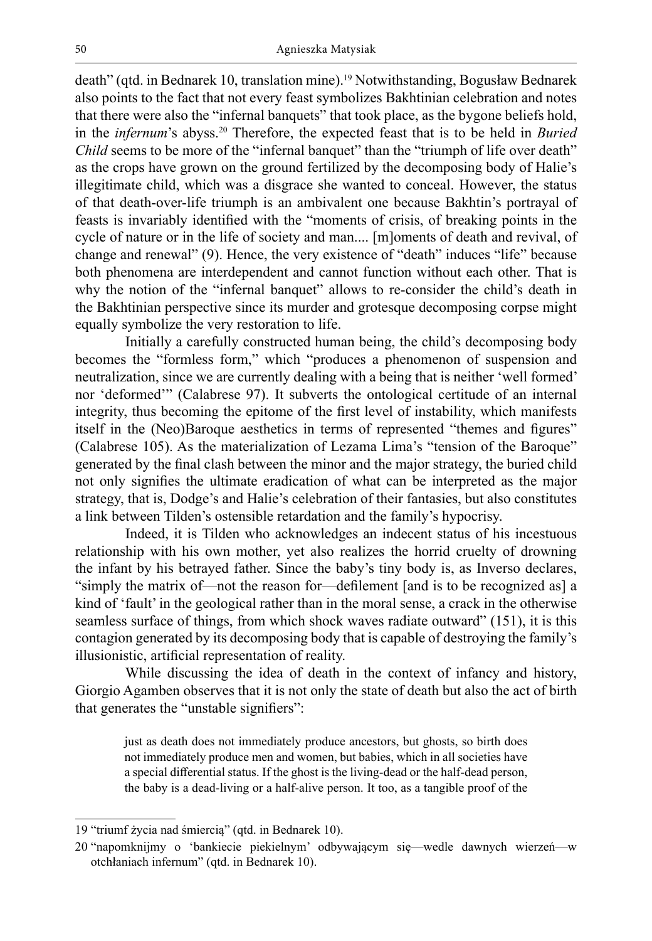death" (qtd. in Bednarek 10, translation mine).<sup>19</sup> Notwithstanding, Bogusław Bednarek also points to the fact that not every feast symbolizes Bakhtinian celebration and notes that there were also the "infernal banquets" that took place, as the bygone beliefs hold, in the *infernum*'s abyss.20 Therefore, the expected feast that is to be held in *Buried Child* seems to be more of the "infernal banquet" than the "triumph of life over death" as the crops have grown on the ground fertilized by the decomposing body of Halie's illegitimate child, which was a disgrace she wanted to conceal. However, the status of that death-over-life triumph is an ambivalent one because Bakhtin's portrayal of feasts is invariably identified with the "moments of crisis, of breaking points in the cycle of nature or in the life of society and man.... [m]oments of death and revival, of change and renewal" (9). Hence, the very existence of "death" induces "life" because both phenomena are interdependent and cannot function without each other. That is why the notion of the "infernal banquet" allows to re-consider the child's death in the Bakhtinian perspective since its murder and grotesque decomposing corpse might equally symbolize the very restoration to life.

Initially a carefully constructed human being, the child's decomposing body becomes the "formless form," which "produces a phenomenon of suspension and neutralization, since we are currently dealing with a being that is neither 'well formed' nor 'deformed'" (Calabrese 97). It subverts the ontological certitude of an internal integrity, thus becoming the epitome of the first level of instability, which manifests itself in the (Neo)Baroque aesthetics in terms of represented "themes and figures" (Calabrese 105). As the materialization of Lezama Lima's "tension of the Baroque" generated by the final clash between the minor and the major strategy, the buried child not only signifies the ultimate eradication of what can be interpreted as the major strategy, that is, Dodge's and Halie's celebration of their fantasies, but also constitutes a link between Tilden's ostensible retardation and the family's hypocrisy.

Indeed, it is Tilden who acknowledges an indecent status of his incestuous relationship with his own mother, yet also realizes the horrid cruelty of drowning the infant by his betrayed father. Since the baby's tiny body is, as Inverso declares, "simply the matrix of—not the reason for—defilement [and is to be recognized as] a kind of 'fault' in the geological rather than in the moral sense, a crack in the otherwise seamless surface of things, from which shock waves radiate outward" (151), it is this contagion generated by its decomposing body that is capable of destroying the family's illusionistic, artificial representation of reality.

While discussing the idea of death in the context of infancy and history, Giorgio Agamben observes that it is not only the state of death but also the act of birth that generates the "unstable signifiers":

just as death does not immediately produce ancestors, but ghosts, so birth does not immediately produce men and women, but babies, which in all societies have a special differential status. If the ghost is the living-dead or the half-dead person, the baby is a dead-living or a half-alive person. It too, as a tangible proof of the

<sup>19</sup> "triumf życia nad śmiercią" (qtd. in Bednarek 10).

<sup>20</sup> "napomknijmy o 'bankiecie piekielnym' odbywającym się—wedle dawnych wierzeń—w otchłaniach infernum" (qtd. in Bednarek 10).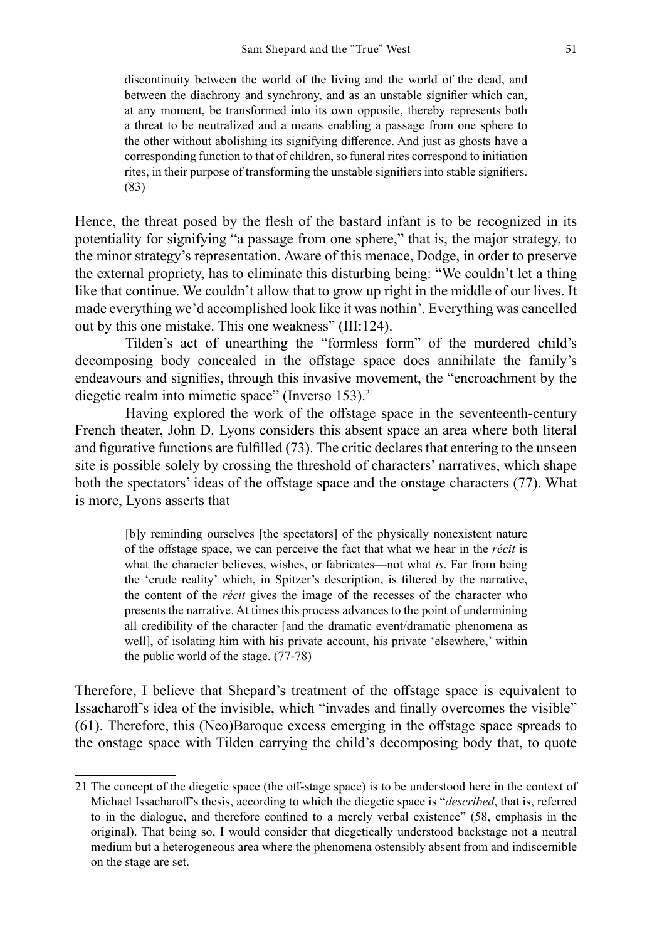discontinuity between the world of the living and the world of the dead, and between the diachrony and synchrony, and as an unstable signifier which can, at any moment, be transformed into its own opposite, thereby represents both a threat to be neutralized and a means enabling a passage from one sphere to the other without abolishing its signifying difference. And just as ghosts have a corresponding function to that of children, so funeral rites correspond to initiation rites, in their purpose of transforming the unstable signifiers into stable signifiers. (83)

Hence, the threat posed by the flesh of the bastard infant is to be recognized in its potentiality for signifying "a passage from one sphere," that is, the major strategy, to the minor strategy's representation. Aware of this menace, Dodge, in order to preserve the external propriety, has to eliminate this disturbing being: "We couldn't let a thing like that continue. We couldn't allow that to grow up right in the middle of our lives. It made everything we'd accomplished look like it was nothin'. Everything was cancelled out by this one mistake. This one weakness" (III:124).

Tilden's act of unearthing the "formless form" of the murdered child's decomposing body concealed in the offstage space does annihilate the family's endeavours and signifies, through this invasive movement, the "encroachment by the diegetic realm into mimetic space" (Inverso 153).<sup>21</sup>

Having explored the work of the offstage space in the seventeenth-century French theater, John D. Lyons considers this absent space an area where both literal and figurative functions are fulfilled (73). The critic declares that entering to the unseen site is possible solely by crossing the threshold of characters' narratives, which shape both the spectators' ideas of the offstage space and the onstage characters (77). What is more, Lyons asserts that

[b]y reminding ourselves [the spectators] of the physically nonexistent nature of the offstage space, we can perceive the fact that what we hear in the *récit* is what the character believes, wishes, or fabricates—not what *is*. Far from being the 'crude reality' which, in Spitzer's description, is filtered by the narrative, the content of the *récit* gives the image of the recesses of the character who presents the narrative. At times this process advances to the point of undermining all credibility of the character [and the dramatic event/dramatic phenomena as well], of isolating him with his private account, his private 'elsewhere,' within the public world of the stage. (77-78)

Therefore, I believe that Shepard's treatment of the offstage space is equivalent to Issacharoff's idea of the invisible, which "invades and finally overcomes the visible" (61). Therefore, this (Neo)Baroque excess emerging in the offstage space spreads to the onstage space with Tilden carrying the child's decomposing body that, to quote

<sup>21</sup> The concept of the diegetic space (the off-stage space) is to be understood here in the context of Michael Issacharoff's thesis, according to which the diegetic space is "*described*, that is, referred to in the dialogue, and therefore confined to a merely verbal existence" (58, emphasis in the original). That being so, I would consider that diegetically understood backstage not a neutral medium but a heterogeneous area where the phenomena ostensibly absent from and indiscernible on the stage are set.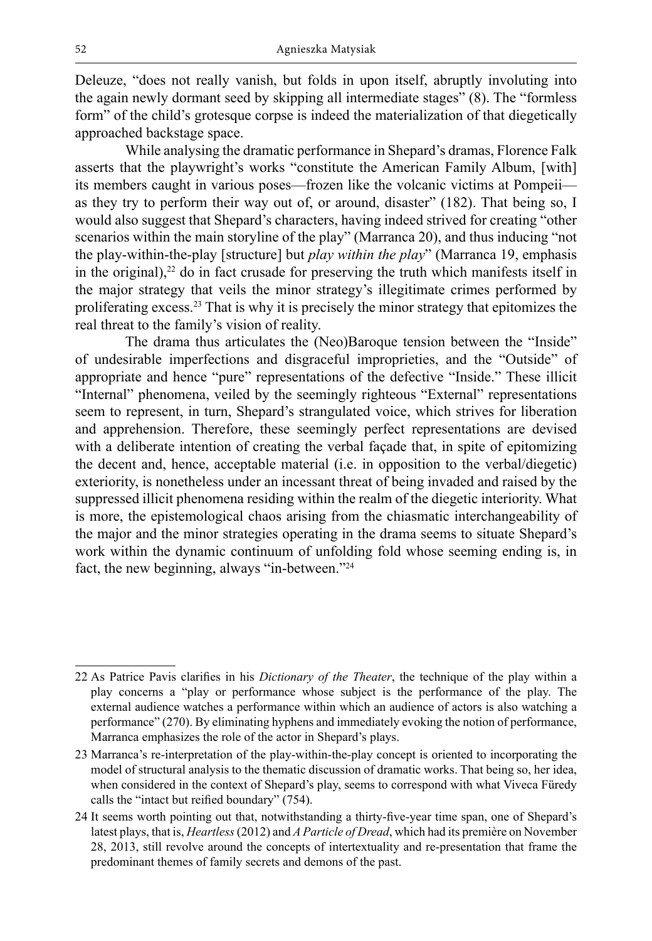Deleuze, "does not really vanish, but folds in upon itself, abruptly involuting into the again newly dormant seed by skipping all intermediate stages" (8). The "formless form" of the child's grotesque corpse is indeed the materialization of that diegetically approached backstage space.

While analysing the dramatic performance in Shepard's dramas, Florence Falk asserts that the playwright's works "constitute the American Family Album, [with] its members caught in various poses—frozen like the volcanic victims at Pompeii as they try to perform their way out of, or around, disaster" (182). That being so, I would also suggest that Shepard's characters, having indeed strived for creating "other scenarios within the main storyline of the play" (Marranca 20), and thus inducing "not the play-within-the-play [structure] but *play within the play*" (Marranca 19, emphasis in the original), $22$  do in fact crusade for preserving the truth which manifests itself in the major strategy that veils the minor strategy's illegitimate crimes performed by proliferating excess.<sup>23</sup> That is why it is precisely the minor strategy that epitomizes the real threat to the family's vision of reality.

The drama thus articulates the (Neo)Baroque tension between the "Inside" of undesirable imperfections and disgraceful improprieties, and the "Outside" of appropriate and hence "pure" representations of the defective "Inside." These illicit "Internal" phenomena, veiled by the seemingly righteous "External" representations seem to represent, in turn, Shepard's strangulated voice, which strives for liberation and apprehension. Therefore, these seemingly perfect representations are devised with a deliberate intention of creating the verbal façade that, in spite of epitomizing the decent and, hence, acceptable material (i.e. in opposition to the verbal/diegetic) exteriority, is nonetheless under an incessant threat of being invaded and raised by the suppressed illicit phenomena residing within the realm of the diegetic interiority. What is more, the epistemological chaos arising from the chiasmatic interchangeability of the major and the minor strategies operating in the drama seems to situate Shepard's work within the dynamic continuum of unfolding fold whose seeming ending is, in fact, the new beginning, always "in-between."24

<sup>22</sup> As Patrice Pavis clarifies in his *Dictionary of the Theater*, the technique of the play within a play concerns a "play or performance whose subject is the performance of the play. The external audience watches a performance within which an audience of actors is also watching a performance" (270). By eliminating hyphens and immediately evoking the notion of performance, Marranca emphasizes the role of the actor in Shepard's plays.

<sup>23</sup> Marranca's re-interpretation of the play-within-the-play concept is oriented to incorporating the model of structural analysis to the thematic discussion of dramatic works. That being so, her idea, when considered in the context of Shepard's play, seems to correspond with what Viveca Füredy calls the "intact but reified boundary" (754).

<sup>24</sup> It seems worth pointing out that, notwithstanding a thirty-five-year time span, one of Shepard's latest plays, that is, *Heartless* (2012) and *A Particle of Dread*, which had its première on November 28, 2013, still revolve around the concepts of intertextuality and re-presentation that frame the predominant themes of family secrets and demons of the past.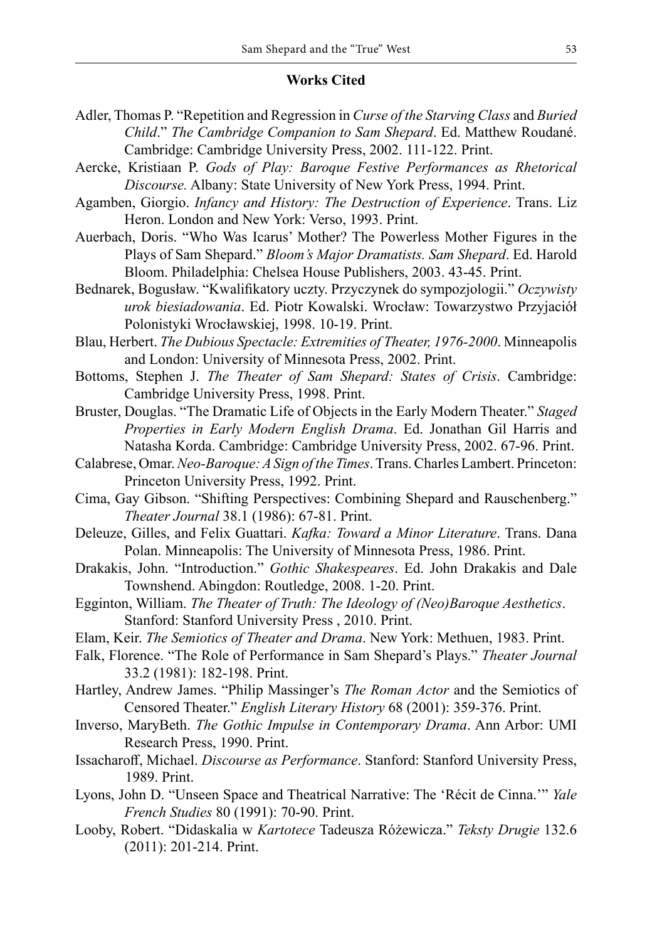### **Works Cited**

- Adler, Thomas P. "Repetition and Regression in *Curse of the Starving Class* and *Buried Child*." *The Cambridge Companion to Sam Shepard*. Ed. Matthew Roudané. Cambridge: Cambridge University Press, 2002. 111-122. Print.
- Aercke, Kristiaan P. *Gods of Play: Baroque Festive Performances as Rhetorical Discourse.* Albany: State University of New York Press, 1994. Print.
- Agamben, Giorgio. *Infancy and History: The Destruction of Experience*. Trans. Liz Heron. London and New York: Verso, 1993. Print.
- Auerbach, Doris. "Who Was Icarus' Mother? The Powerless Mother Figures in the Plays of Sam Shepard." *Bloom's Major Dramatists. Sam Shepard*. Ed. Harold Bloom. Philadelphia: Chelsea House Publishers, 2003. 43-45. Print.
- Bednarek, Bogusław. "Kwalifikatory uczty. Przyczynek do sympozjologii." *Oczywisty urok biesiadowania*. Ed. Piotr Kowalski. Wrocław: Towarzystwo Przyjaciół Polonistyki Wrocławskiej, 1998. 10-19. Print.
- Blau, Herbert. *The Dubious Spectacle: Extremities of Theater, 1976-2000*. Minneapolis and London: University of Minnesota Press, 2002. Print.
- Bottoms, Stephen J. *The Theater of Sam Shepard: States of Crisis*. Cambridge: Cambridge University Press, 1998. Print.
- Bruster, Douglas. "The Dramatic Life of Objects in the Early Modern Theater." *Staged Properties in Early Modern English Drama*. Ed. Jonathan Gil Harris and Natasha Korda. Cambridge: Cambridge University Press, 2002. 67-96. Print.
- Calabrese, Omar. *Neo-Baroque: A Sign of the Times*. Trans. Charles Lambert. Princeton: Princeton University Press, 1992. Print.
- Cima, Gay Gibson. "Shifting Perspectives: Combining Shepard and Rauschenberg." *Theater Journal* 38.1 (1986): 67-81. Print.
- Deleuze, Gilles, and Felix Guattari. *Kafka: Toward a Minor Literature*. Trans. Dana Polan. Minneapolis: The University of Minnesota Press, 1986. Print.
- Drakakis, John. "Introduction." *Gothic Shakespeares*. Ed. John Drakakis and Dale Townshend. Abingdon: Routledge, 2008. 1-20. Print.
- Egginton, William. *The Theater of Truth: The Ideology of (Neo)Baroque Aesthetics*. Stanford: Stanford University Press , 2010. Print.
- Elam, Keir. *The Semiotics of Theater and Drama*. New York: Methuen, 1983. Print.
- Falk, Florence. "The Role of Performance in Sam Shepard's Plays." *Theater Journal*  33.2 (1981): 182-198. Print.
- Hartley, Andrew James. "Philip Massinger's *The Roman Actor* and the Semiotics of Censored Theater." *English Literary History* 68 (2001): 359-376. Print.
- Inverso, MaryBeth. *The Gothic Impulse in Contemporary Drama*. Ann Arbor: UMI Research Press, 1990. Print.
- Issacharoff, Michael. *Discourse as Performance*. Stanford: Stanford University Press, 1989. Print.
- Lyons, John D. "Unseen Space and Theatrical Narrative: The 'Récit de Cinna.'" *Yale French Studies* 80 (1991): 70-90. Print.
- Looby, Robert. "Didaskalia w *Kartotece* Tadeusza Różewicza." *Teksty Drugie* 132.6 (2011): 201-214. Print.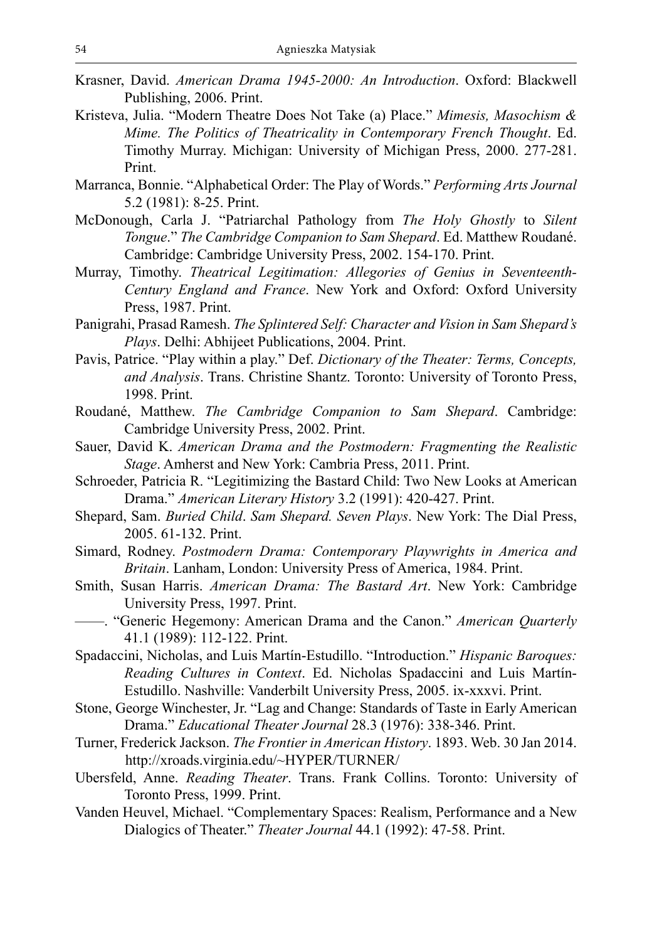- Krasner, David. *American Drama 1945-2000: An Introduction*. Oxford: Blackwell Publishing, 2006. Print.
- Kristeva, Julia. "Modern Theatre Does Not Take (a) Place." *Mimesis, Masochism & Mime. The Politics of Theatricality in Contemporary French Thought*. Ed. Timothy Murray. Michigan: University of Michigan Press, 2000. 277-281. Print.
- Marranca, Bonnie. "Alphabetical Order: The Play of Words." *Performing Arts Journal*  5.2 (1981): 8-25. Print.
- McDonough, Carla J. "Patriarchal Pathology from *The Holy Ghostly* to *Silent Tongue*." *The Cambridge Companion to Sam Shepard*. Ed. Matthew Roudané. Cambridge: Cambridge University Press, 2002. 154-170. Print.
- Murray, Timothy. *Theatrical Legitimation: Allegories of Genius in Seventeenth-Century England and France*. New York and Oxford: Oxford University Press, 1987. Print.
- Panigrahi, Prasad Ramesh. *The Splintered Self: Character and Vision in Sam Shepard's Plays*. Delhi: Abhijeet Publications, 2004. Print.
- Pavis, Patrice. "Play within a play." Def. *Dictionary of the Theater: Terms, Concepts, and Analysis*. Trans. Christine Shantz. Toronto: University of Toronto Press, 1998. Print.
- Roudané, Matthew. *The Cambridge Companion to Sam Shepard*. Cambridge: Cambridge University Press, 2002. Print.
- Sauer, David K. *American Drama and the Postmodern: Fragmenting the Realistic Stage*. Amherst and New York: Cambria Press, 2011. Print.
- Schroeder, Patricia R. "Legitimizing the Bastard Child: Two New Looks at American Drama." *American Literary History* 3.2 (1991): 420-427. Print.
- Shepard, Sam. *Buried Child*. *Sam Shepard. Seven Plays*. New York: The Dial Press, 2005. 61-132. Print.
- Simard, Rodney. *Postmodern Drama: Contemporary Playwrights in America and Britain*. Lanham, London: University Press of America, 1984. Print.
- Smith, Susan Harris. *American Drama: The Bastard Art*. New York: Cambridge University Press, 1997. Print.
- ——. "Generic Hegemony: American Drama and the Canon." *American Quarterly* 41.1 (1989): 112-122. Print.
- Spadaccini, Nicholas, and Luis Martín-Estudillo. "Introduction." *Hispanic Baroques: Reading Cultures in Context*. Ed. Nicholas Spadaccini and Luis Martín-Estudillo. Nashville: Vanderbilt University Press, 2005. ix-xxxvi. Print.
- Stone, George Winchester, Jr. "Lag and Change: Standards of Taste in Early American Drama." *Educational Theater Journal* 28.3 (1976): 338-346. Print.
- Turner, Frederick Jackson. *The Frontier in American History*. 1893. Web. 30 Jan 2014. http://xroads.virginia.edu/~HYPER/TURNER/
- Ubersfeld, Anne. *Reading Theater*. Trans. Frank Collins. Toronto: University of Toronto Press, 1999. Print.
- Vanden Heuvel, Michael. "Complementary Spaces: Realism, Performance and a New Dialogics of Theater." *Theater Journal* 44.1 (1992): 47-58. Print.